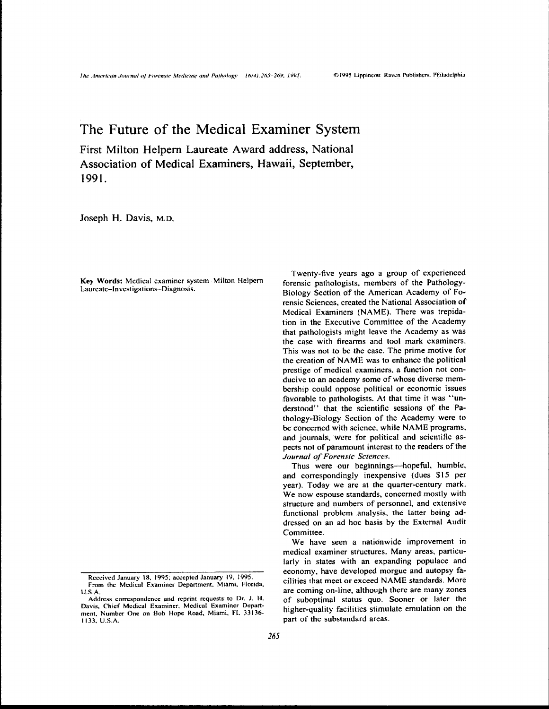## The Future of the Medical Examiner System

First Milton Helpern Laureate Award address, National Association of Medical Examiners, Hawaii, September, 1991.

Joseph H. Davis, M.D.

Key Words: Medical examiner system-Milton Helpern Laureate-Investigations-Diagnosis.

Twenty-five years ago a group of experienced forensic pathologists, members of the Pathology-Biology Section of the American Academy of Forensic Sciences, created the National Association of Medical Examiners (NAME). There was trepidation in the Executive Committee of the Academy that pathologists might leave the Academy as was the case with firearms and tool mark examiners. This was not to be the case. The prime motive for the creation of NAME was to enhance the political prestige of medical examiners, a function not conducive to an academy some of whose diverse membership could oppose political or economic issues favorable to pathologists. At that time it was "understood" that the scientific sessions of the Pathology-Biology Section of the Academy were to be concerned with science, while NAME programs, and journals, were for political and scientific aspects not of paramount interest to the readers of the Journal of Forensic Sciences.

Thus were our beginnings—hopeful, humble, and correspondingly inexpensive (dues \$15 per year). Today we are at the quarter-century mark. We now espouse standards, concerned mostly with structure and numbers of personnel, and extensive functional problem analysis, the latter being addressed on an ad hoc basis by the External Audit Committee.

We have seen a nationwide improvement in medical examiner structures. Many areas, particularly in states with an expanding populace and economy, have developed morgue and autopsy facilities that meet or exceed NAME standards. More are coming on-line, although there are many zones of suboptimal status quo. Sooner or later the higher-quality facilities stimulate emulation on the part of the substandard areas.

Received January 18, 1995; accepted January 19, 1995. From the Medical Examiner Department, Miami, Florida,  $U.S.A.$ 

Address correspondence and reprint requests to Dr. J. H. Davis, Chief Medical Examiner, Medical Examiner Department, Number One on Bob Hope Road, Miami, FL 33136-1133. U.S.A.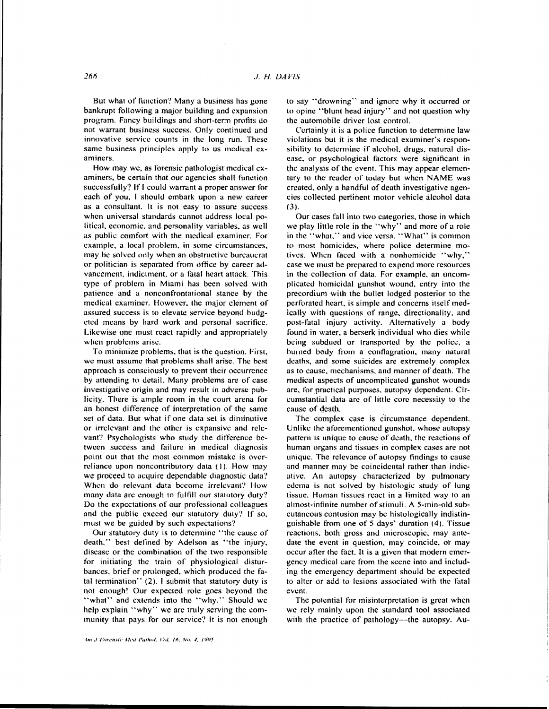But what of function'? Many a business has gone bankrupt following a major building and expansion program. Fancy buildings and short-term profits do not warrant business success. Only continued and innovative service counts in the long run. These same business principles apply to us medical examiners.

How may we, as forensic pathologist medical examiners. be certain that our agencies shall function successfully? If I could warrant a proper answer for each of you. I should embark upon a new career as a consultant. It is not easy to assure success when universal standards cannot address local political, economic, and personality variables. as well as public comfort with the medical examiner. For example, a local problem. in some circumstances. may be solved only when an obstructive bureaucrat or politician is separated from office by career advancement, indictment. or a fatal heart attack. This type of problem in Miami has been solved with patience and a nonconfrontational stance by the medical examiner. However. the major clement of assured success is to elevate service beyond budgeted means by hard work and personal sacrifice. Likewise one must react rapidly and appropriately when problems arise.

To minimize problems, that is the question. First, we must assume that problems shall arise. The best approach is consciously to prevent their occurrence by attending to detail. Many problems are of case investigative origin and may result in adverse publicity. There is ample room in the court arena for an honest difference of interpretation of the same set of data. But what if one data set is diminutive or irrelevant and the other is expansive and relevant? Psychologists who study the difference between success and failure in medical diagnosis point out that the most common mistake is overreliance upon noncontributory data (I). How may we proceed to acquire dependable diagnostic data? When do relevant data become irrelevant? How many data are enough to fulfill our statutory duty'? Do the expectations of our professional colleagues and the public exceed our statutory duty? If so, must we be guided by such expectations?

Our statutory duty is to determine "the cause of death," best defined by Adelson as "the injury, disease or the combination of the two responsible for initiating the train of physiological disturbances, brief or prolonged, which produced the fatal termination" (2). I submit that statutory duty is not enough! Our expected role goes beyond the "what" and extends into the "why." Should we help explain "why" we are tmly serving the community that pays for our service? It is not enough to say "drowning" and ignore why it occurred or to opine "blunt head injury" and not question why the automobile driver lost control.

Certainly it is a police function to determine law violations but it is the medical examiner's responsibility to determine if alcohol, drugs, natural disease, or psychological factors were significant in the analysis of the event. This may appear elementary to the reader of today but when NAME was created, only a handful of death investigative agencies collected pertinent motor vehicle alcohol data (3).

Our cases fall into two categories, those in which we play little role in the "why'' and more of a role in the "what." and vice versa. "What" is common to most homicides, where police determine motives. When faced with a nonhomicide "why.'' case we must be prepared to expend more resources in the collection of data. For example. an uncomplicated homicidal gunshot wound, entry into the precordium with the bullet lodged posterior to the perforated heart. is simple and concerns itself medically with questions of range, directionality. and post-fatal injury activity. Alternatively a body found in water, a berserk individual who dies while being subdued or transported by the police. a burned body from a conflagration, many natural deaths, and some suicides are extremely complex as to cause. mechanisms. and manner of death. The medical aspects of uncomplicated gunshot wounds are, for practical purposes. autopsy dependent. Circumstantial data are of little core necessity to the cause of death.

The complex case is c'ircumstance dependent. Unlike the aforementioned gunshot, whose autopsy pattern is unique to cause of death. the reactions of human organs and tissues in complex cases are not unique. The relevance of autopsy findings to cause and manner may be coincidental rather than indicative. An autopsy characterized by pulmonary edema is not solved by histologic study of lung tissue. Human tissues react in a limited way to an almost-infinite number of stimuli. A 5-min-old subcutaneous contusion may be histologically indistinguishable trom one of 5 days' duration (4). Tissue reactions. both gross and microscopic. may antedate the event in question, may coincide, or may occur after the fact. It is a given that modern emergency medical care from the scene into and including the emergency department should be expected to alter or add to lesions associated with the fatal event.

The potential for misinterpretation is great when we rely mainly upon the standard tool associated with the practice of pathology---the autopsy. Au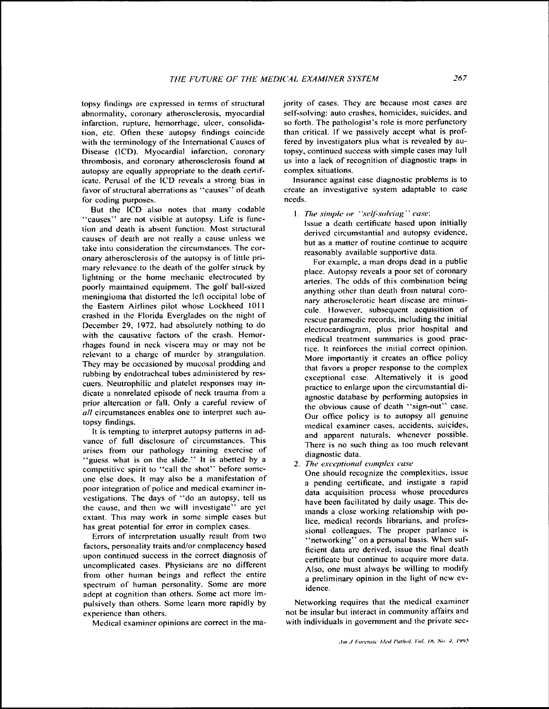topsy findings are expressed in terms of structural abnormality. coronary atherosclerosis. myocardial infarction, rupture, hemorrhage, ulcer, consolidation. etc. Often these autopsy findings coincide with the terminology of the International Causes of Disease (lCD). Myocardial infarction, coronary thrombosis, and coronary atherosclerosis found at autopsy are equally appropriate to the death certificate. Perusal of the lCD reveals a strong bias in favor of structural aberrations as "causes" of death for coding purposes.

But the lCD also notes that many codable "causes" are not visible at autopsy. Life is function and death is absent function. Most structural causes of death arc not really a cause unless we take into consideration the circumstances. The coronary atherosclerosis of the autopsy is of little primary relevance to the death of the golfer struck by lightning or the home mechanic electrocuted by poorly maintained equipment. The golf ball-sized meningioma that distorted the left occipital lobe of the Eastern Airlines pilot whose Lockheed 1011 crashed in the Florida Everglades on the night of December 29. 1972. had absolutely nothing to do with the causative factors of the crash. Hemorrhages found in neck viscera may or may not be relevant to a charge of murder by strangulation. They may be occasioned by mucosal prodding and rubbing by endotracheal tubes administered by rescuers. Neutrophilic and platelet responses may indicate a nonrelated episode of neck trauma from a prior altercation or fall. Only a careful review of *all* circumstances enables one to interpret such autopsy findings.

It is tempting to interpret autopsy patterns in advance of full disclosure of circumstances. This arises from our pathology training exercise of "guess what is on the slide." It is abetted by a competitive spirit to "call the shot" before someone else does. It may also be a manifestation of poor integration of police and medical examiner investigations. The days of "do an autopsy, tell us the cause, and then we will investigate" arc yet extant. This may work in some simple cases but has great potential for error in complex cases.

Errors of interpretation usually result from two factors, personality traits and/or complacency based upon continued success in the correct diagnosis of uncomplicated cases. Physicians arc no different from other human beings and reflect the entire spectrum of human personality. Some are more adept at cognition than others. Some act more impulsively than others. Some learn more rapidly by experience than others.

Medical examiner opinions are correct in the ma-

jority of cases. They are because most cases arc self-solving: auto crashes, homicides. suicides, and so forth. The pathologist's role is more perfunctory than critical. If we passively accept what is proffered by investigators plus what is revealed by autopsy. continued success with simple cases may lull us into a lack of recognition of diagnostic traps in complex situations.

Insurance against case diagnostic problems is to create an investigative system adaptable to case needs.

1. The simple or "self-solving" case:

Issue a death certificate based upon initially derived circumstantial and autopsy evidence. but as a matter of routine continue to acquire reasonably available supportive data.

For example. a man drops dead in a public place. Autopsy reveals a poor set of coronary arteries. The odds of this combination being anything other than death from natural coronary atherosclerotic heart disease are minuscule. However. subsequent acquisition of rescue paramedic records, including the initial electrocardiogram, plus prior hospital and medical treatment summaries is good practice. It reinforces the initial correct opinion. More importantly it creates an office policy that favors a proper response to the complex exceptional case. Alternatively it is good practice to enlarge upon the circumstantial diagnostic database by performing autopsies in the obvious cause of death "sign-out" case. Our office policy is to autopsy all genuine medical examiner cases. accidents. suicides. and apparent naturals, whenever possible. There is no such thing as too much relevant diagnostic data.

2. *The exceptional complex case* 

One should recognize the complexities. issue a pending certificate, and instigate a rapid data acquisition process whose procedures have been facilitated by daily usage. This demands a close working relationship with police. medical records librarians. and professional colleagues. The proper parlance is "networking" on a personal basis. When sufficient data are derived, issue the final death certificate but continue to acquire more data. Also, one must always be willing to modify a preliminary opinion in the light of new evidence.

Networking requires that the medical examiner not be insular but interact in community affairs and with individuals in government and the private sec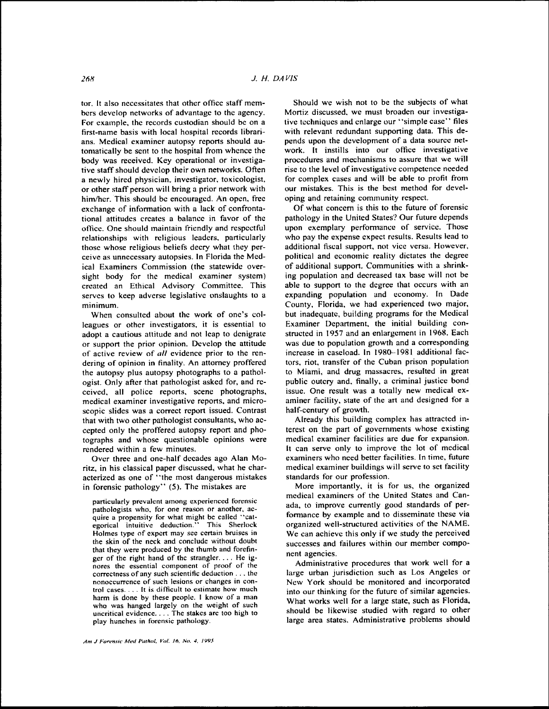tor. It also necessitates that other office staff members develop networks of advantage to the agency. For example, the records custodian should be on a first-name basis with local hospital records librarians. Medical examiner autopsy reports should automatically be sent to the hospital from whence the body was received. Key operational or investigative staff should develop their own networks. Often a newly hired physician, investigator, toxicologist, or other staff person will bring a prior network with him/her. This should be encouraged. An open, free exchange of information with a lack of confrontational attitudes creates a balance in favor of the oflice. One should maintain friendly and respectful relationships with religious leaders. particularly those whose religious beliefs decry what they perceive as unnecessary autopsies. In Florida the Medical Examiners Commission (the statewide oversight body for the medical examiner system) created an Ethical Advisory Committee. This serves to keep adverse legislative onslaughts to a minimum.

When consulted about the work of one's colleagues or other investigators, it is essential to adopt a cautious attitude and not leap to denigrate or support the prior opinion. Develop the attitude of active review of *all* evidence prior to the rendering of opinion in finality. An attorney proffered the autopsy plus autopsy photographs to a pathologist. Only after that pathologist asked for, and received, all police reports, scene photographs, medical examiner investigative reports, and microscopic slides was a correct report issued. Contrast that with two other pathologist consultants, who accepted only the proffered autopsy report and photographs and whose questionable opinions were rendered within a few minutes.

Over three and one-half decades ago Alan Moritz, in his classical paper discussed, what he characterized as one of "the most dangerous mistakes in forensic pathology'' (5). The mistakes are

particularly prevalent among experienced torensic pathologists who. for one reason or another, acquire a propensity for what might be called "cat-<br>egorical intuitive deduction." This Sherlock egorical intuitive deduction." Holmes type of expert may see certain bruises in the skin of the neck and conclude without doubt that they were produced by the thumb and forefinger of the right hand of the strangler .... He ig- nores the essential component of proof of the correctness of any such scientific deduction  $\dots$ , the nonoccurrence of such lesions or changes in control cases  $\dots$ . It is difficult to estimate how much harm is done by these people. I know of a man who was hanged largely on the weight of such uncritical evidence. . . . The stakes arc too high to play hunches in forensic pathology.

Should we wish not to be the subjects of what Mortiz discussed. we must broaden our investigative techniques and enlarge our "simple case" files with relevant redundant supporting data. This depends upon the development of a data source network. It instills into our office investigative procedures and mechanisms to assure that we will rise to the level of investigative competence needed for complex cases and will be able to profit from our mistakes. This is the best method for developing and retaining community respect.

Of what concern is this to the future of forensic pathology in the United States'? Our future depends upon exemplary performance of service. Those who pay the expense expect results. Results lead to additional fiscal support. not vice versa. However, political and economic reality dictates the degree of additional support. Communities with a shrinking population and decreased tax base will not be able to support to the degree that occurs with an expanding population and economy. In Dade County, Florida, we had experienced two major, but inadequate, building programs for the Medical Examiner Department. the initial building constructed in 1957 and an enlargement in 1968. Each was due to population growth and a corresponding increase in cascload. In 1980--1981 additional factors, riot, transter of the Cuban prison population to Miami, and drug massacres, resulted in great public outcry and. finally, a criminal justice bond issue. One result was a totally new medical examiner facility, state of the art and designed for a half-century of growth.

Already this building complex has attracted interest on the part of governments whose existing medical examiner facilities are due for expansion. It can serve only to improve the lot of medical examiners who need better facilities. In time, future medical examiner buildings will serve to set facility standards for our profession.

More importantly, it is for us, the organized medical examiners of the United States and Canada, to improve currently good standards of performance by example and to disseminate these via organized well-structured activities of the NAME. We can achieve this only if we study the perceived successes and failures within our member component agencies.

Administrative procedures that work well for a large urban jurisdiction such as Los Angeles or New York should be monitored and incorporated into our thinking for the future of similar agencies. What works well for a large state, such as Florida, should be likewise studied with regard to other large area states. Administrative problems should